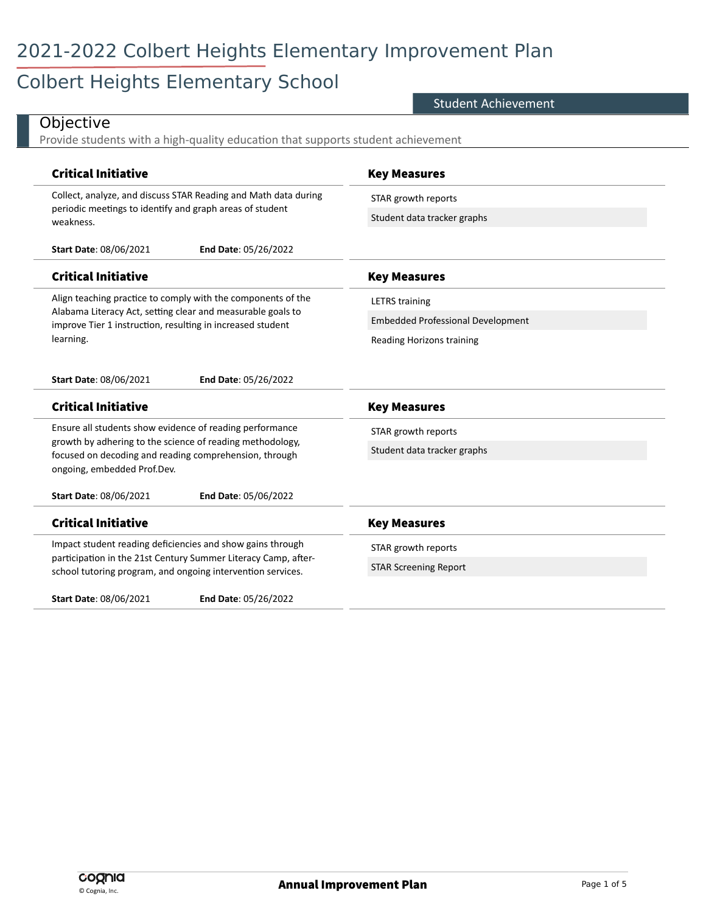# 2021-2022 Colbert Heights Elementary Improvement Plan

# Colbert Heights Elementary School

#### Student Achievement

| <b>Critical Initiative</b>                                                                                                                                                                | <b>Key Measures</b>                      |
|-------------------------------------------------------------------------------------------------------------------------------------------------------------------------------------------|------------------------------------------|
| Collect, analyze, and discuss STAR Reading and Math data during<br>periodic meetings to identify and graph areas of student<br>weakness.                                                  | STAR growth reports                      |
|                                                                                                                                                                                           | Student data tracker graphs              |
| <b>Start Date: 08/06/2021</b><br>End Date: 05/26/2022                                                                                                                                     |                                          |
| <b>Critical Initiative</b>                                                                                                                                                                | <b>Key Measures</b>                      |
| Align teaching practice to comply with the components of the<br>Alabama Literacy Act, setting clear and measurable goals to<br>improve Tier 1 instruction, resulting in increased student | <b>LETRS</b> training                    |
|                                                                                                                                                                                           | <b>Embedded Professional Development</b> |
| learning.                                                                                                                                                                                 | Reading Horizons training                |
| <b>Start Date: 08/06/2021</b><br>End Date: 05/26/2022                                                                                                                                     |                                          |
| <b>Critical Initiative</b>                                                                                                                                                                | <b>Key Measures</b>                      |
| Ensure all students show evidence of reading performance                                                                                                                                  | STAR growth reports                      |
| growth by adhering to the science of reading methodology,<br>focused on decoding and reading comprehension, through                                                                       | Student data tracker graphs              |
| ongoing, embedded Prof.Dev.                                                                                                                                                               |                                          |
| <b>Start Date: 08/06/2021</b><br>End Date: 05/06/2022                                                                                                                                     |                                          |
| <b>Critical Initiative</b>                                                                                                                                                                | <b>Key Measures</b>                      |
| Impact student reading deficiencies and show gains through                                                                                                                                | STAR growth reports                      |
| participation in the 21st Century Summer Literacy Camp, after-<br>school tutoring program, and ongoing intervention services.                                                             | <b>STAR Screening Report</b>             |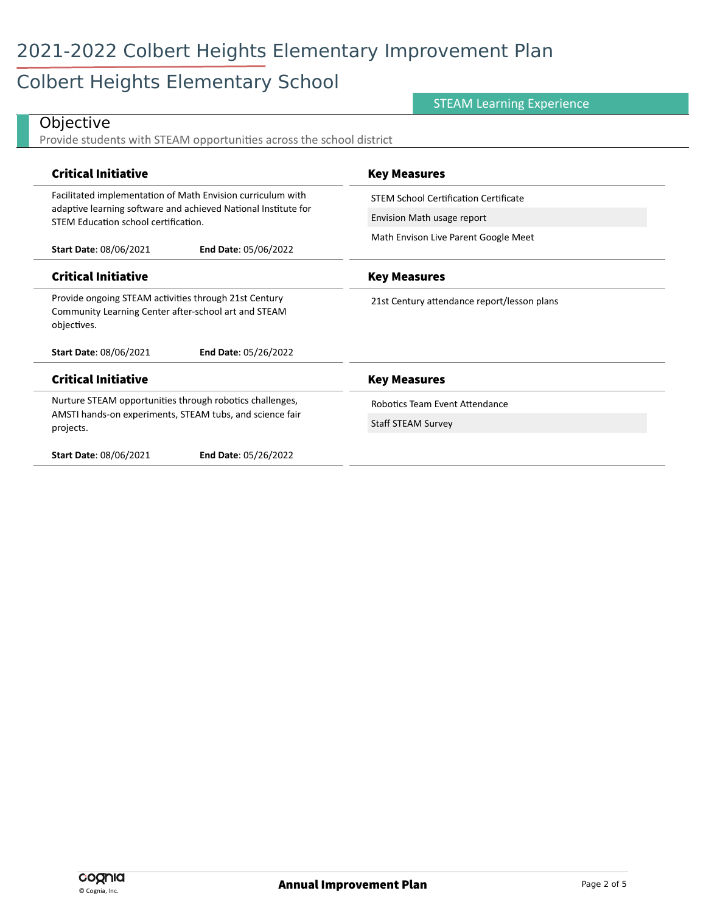# Colbert Heights Elementary School

### STEAM Learning Experience

| Provide students with STEAM opportunities across the school district                                                              |                                             |
|-----------------------------------------------------------------------------------------------------------------------------------|---------------------------------------------|
| <b>Critical Initiative</b>                                                                                                        | <b>Key Measures</b>                         |
| Facilitated implementation of Math Envision curriculum with                                                                       | STEM School Certification Certificate       |
| adaptive learning software and achieved National Institute for<br>STEM Education school certification.                            | Envision Math usage report                  |
| <b>Start Date: 08/06/2021</b><br>End Date: 05/06/2022                                                                             | Math Envison Live Parent Google Meet        |
| <b>Critical Initiative</b>                                                                                                        | <b>Key Measures</b>                         |
| Provide ongoing STEAM activities through 21st Century<br>Community Learning Center after-school art and STEAM<br>objectives.      | 21st Century attendance report/lesson plans |
| <b>Start Date: 08/06/2021</b><br>End Date: 05/26/2022                                                                             |                                             |
| <b>Critical Initiative</b>                                                                                                        | <b>Key Measures</b>                         |
| Nurture STEAM opportunities through robotics challenges,<br>AMSTI hands-on experiments, STEAM tubs, and science fair<br>projects. | Robotics Team Event Attendance              |
|                                                                                                                                   | <b>Staff STEAM Survey</b>                   |
| <b>Start Date: 08/06/2021</b><br>End Date: 05/26/2022                                                                             |                                             |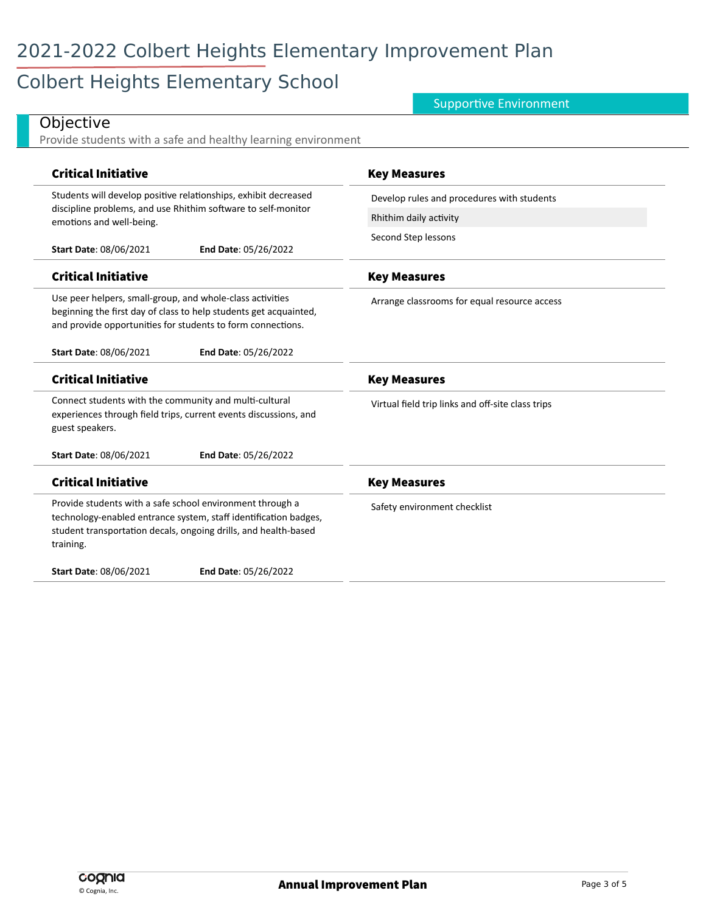# Colbert Heights Elementary School

### Supportive Environment

| Provide students with a safe and healthy learning environment                                                                                                                                                 |                                                   |
|---------------------------------------------------------------------------------------------------------------------------------------------------------------------------------------------------------------|---------------------------------------------------|
| <b>Critical Initiative</b>                                                                                                                                                                                    | <b>Key Measures</b>                               |
| Students will develop positive relationships, exhibit decreased<br>discipline problems, and use Rhithim software to self-monitor<br>emotions and well-being.                                                  | Develop rules and procedures with students        |
|                                                                                                                                                                                                               | Rhithim daily activity                            |
| Start Date: 08/06/2021<br>End Date: 05/26/2022                                                                                                                                                                | Second Step lessons                               |
| <b>Critical Initiative</b>                                                                                                                                                                                    | <b>Key Measures</b>                               |
| Use peer helpers, small-group, and whole-class activities<br>beginning the first day of class to help students get acquainted,<br>and provide opportunities for students to form connections.                 | Arrange classrooms for equal resource access      |
| Start Date: 08/06/2021<br>End Date: 05/26/2022                                                                                                                                                                |                                                   |
| <b>Critical Initiative</b>                                                                                                                                                                                    | <b>Key Measures</b>                               |
| Connect students with the community and multi-cultural<br>experiences through field trips, current events discussions, and<br>guest speakers.                                                                 | Virtual field trip links and off-site class trips |
| <b>Start Date: 08/06/2021</b><br>End Date: 05/26/2022                                                                                                                                                         |                                                   |
| <b>Critical Initiative</b>                                                                                                                                                                                    | <b>Key Measures</b>                               |
| Provide students with a safe school environment through a<br>technology-enabled entrance system, staff identification badges,<br>student transportation decals, ongoing drills, and health-based<br>training. | Safety environment checklist                      |
| Start Date: 08/06/2021<br>End Date: 05/26/2022                                                                                                                                                                |                                                   |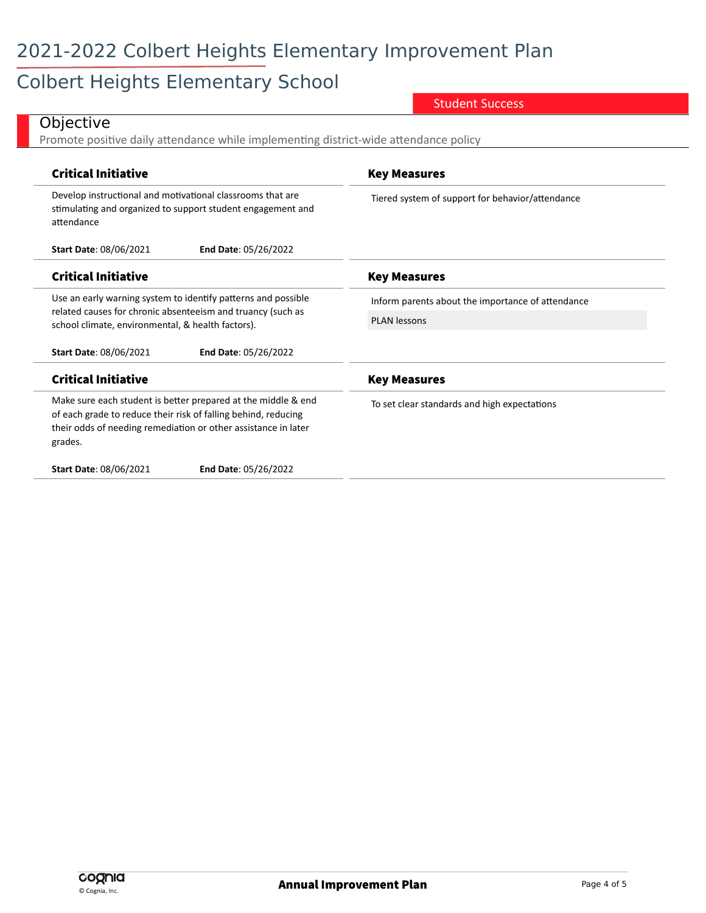# 2021-2022 Colbert Heights Elementary Improvement Plan

# Colbert Heights Elementary School

Student Success

| Promote positive daily attendance while implementing district-wide attendance policy                                                                                                                         |                                                   |
|--------------------------------------------------------------------------------------------------------------------------------------------------------------------------------------------------------------|---------------------------------------------------|
| <b>Critical Initiative</b>                                                                                                                                                                                   | <b>Key Measures</b>                               |
| Develop instructional and motivational classrooms that are<br>stimulating and organized to support student engagement and<br>attendance                                                                      | Tiered system of support for behavior/attendance  |
| <b>Start Date: 08/06/2021</b><br>End Date: 05/26/2022                                                                                                                                                        |                                                   |
| <b>Critical Initiative</b>                                                                                                                                                                                   | <b>Key Measures</b>                               |
| Use an early warning system to identify patterns and possible<br>related causes for chronic absenteeism and truancy (such as<br>school climate, environmental, & health factors).                            | Inform parents about the importance of attendance |
|                                                                                                                                                                                                              | <b>PLAN lessons</b>                               |
| <b>Start Date: 08/06/2021</b><br>End Date: 05/26/2022                                                                                                                                                        |                                                   |
| <b>Critical Initiative</b>                                                                                                                                                                                   | <b>Key Measures</b>                               |
| Make sure each student is better prepared at the middle & end<br>of each grade to reduce their risk of falling behind, reducing<br>their odds of needing remediation or other assistance in later<br>grades. | To set clear standards and high expectations      |
| <b>Start Date: 08/06/2021</b><br>End Date: 05/26/2022                                                                                                                                                        |                                                   |